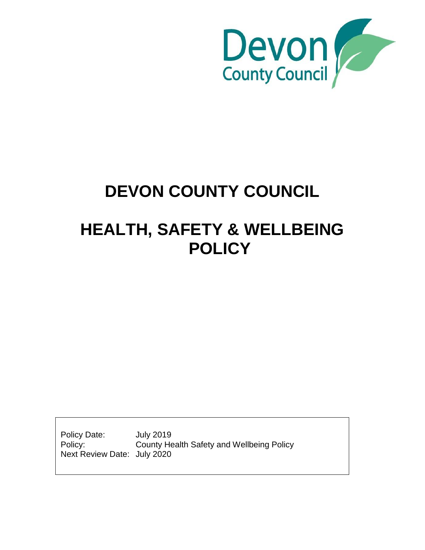

# **DEVON COUNTY COUNCIL**

# **HEALTH, SAFETY & WELLBEING POLICY**

Policy Date: July 2019 Policy: County Health Safety and Wellbeing Policy Next Review Date: July 2020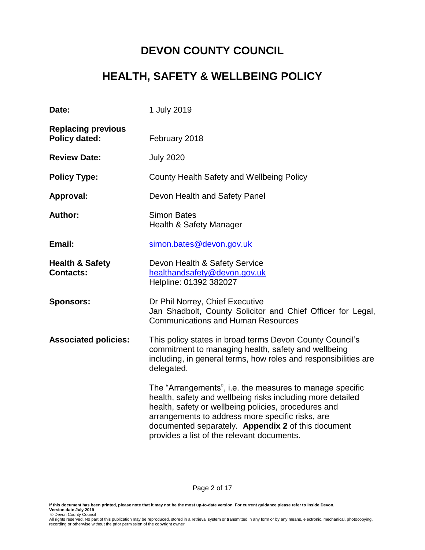# **DEVON COUNTY COUNCIL**

# **HEALTH, SAFETY & WELLBEING POLICY**

| Date:                                             | 1 July 2019                                                                                                                                                                                                                                                                                                                            |
|---------------------------------------------------|----------------------------------------------------------------------------------------------------------------------------------------------------------------------------------------------------------------------------------------------------------------------------------------------------------------------------------------|
| <b>Replacing previous</b><br><b>Policy dated:</b> | February 2018                                                                                                                                                                                                                                                                                                                          |
| <b>Review Date:</b>                               | <b>July 2020</b>                                                                                                                                                                                                                                                                                                                       |
| <b>Policy Type:</b>                               | County Health Safety and Wellbeing Policy                                                                                                                                                                                                                                                                                              |
| Approval:                                         | Devon Health and Safety Panel                                                                                                                                                                                                                                                                                                          |
| <b>Author:</b>                                    | <b>Simon Bates</b><br><b>Health &amp; Safety Manager</b>                                                                                                                                                                                                                                                                               |
| Email:                                            | simon.bates@devon.gov.uk                                                                                                                                                                                                                                                                                                               |
| <b>Health &amp; Safety</b><br><b>Contacts:</b>    | Devon Health & Safety Service<br>healthandsafety@devon.gov.uk<br>Helpline: 01392 382027                                                                                                                                                                                                                                                |
| <b>Sponsors:</b>                                  | Dr Phil Norrey, Chief Executive<br>Jan Shadbolt, County Solicitor and Chief Officer for Legal,<br><b>Communications and Human Resources</b>                                                                                                                                                                                            |
| <b>Associated policies:</b>                       | This policy states in broad terms Devon County Council's<br>commitment to managing health, safety and wellbeing<br>including, in general terms, how roles and responsibilities are<br>delegated.                                                                                                                                       |
|                                                   | The "Arrangements", i.e. the measures to manage specific<br>health, safety and wellbeing risks including more detailed<br>health, safety or wellbeing policies, procedures and<br>arrangements to address more specific risks, are<br>documented separately. Appendix 2 of this document<br>provides a list of the relevant documents. |

Page 2 of 17

**If this document has been printed, please note that it may not be the most up-to-date version. For current guidance please refer to Inside Devon.** 

**Version date July 2019**<br> © Devon County Council<br>All rights reserved. No part of this publication may be reproduced, stored in a retrieval system or transmitted in any form or by any means, electronic, mechanical, photoco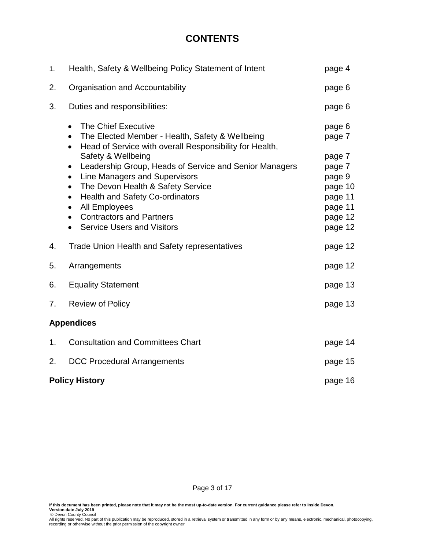# **CONTENTS**

| 1. | Health, Safety & Wellbeing Policy Statement of Intent                                                                                                                                                                                                                                                                                                                                                                                                                                                                                           | page 4                                                                                                |  |
|----|-------------------------------------------------------------------------------------------------------------------------------------------------------------------------------------------------------------------------------------------------------------------------------------------------------------------------------------------------------------------------------------------------------------------------------------------------------------------------------------------------------------------------------------------------|-------------------------------------------------------------------------------------------------------|--|
| 2. | Organisation and Accountability                                                                                                                                                                                                                                                                                                                                                                                                                                                                                                                 | page 6                                                                                                |  |
| 3. | Duties and responsibilities:                                                                                                                                                                                                                                                                                                                                                                                                                                                                                                                    | page 6                                                                                                |  |
|    | The Chief Executive<br>$\bullet$<br>The Elected Member - Health, Safety & Wellbeing<br>$\bullet$<br>Head of Service with overall Responsibility for Health,<br>$\bullet$<br>Safety & Wellbeing<br>Leadership Group, Heads of Service and Senior Managers<br>$\bullet$<br>Line Managers and Supervisors<br>$\bullet$<br>The Devon Health & Safety Service<br>$\bullet$<br><b>Health and Safety Co-ordinators</b><br>$\bullet$<br>All Employees<br>$\bullet$<br><b>Contractors and Partners</b><br>$\bullet$<br><b>Service Users and Visitors</b> | page 6<br>page 7<br>page 7<br>page 7<br>page 9<br>page 10<br>page 11<br>page 11<br>page 12<br>page 12 |  |
| 4. | <b>Trade Union Health and Safety representatives</b>                                                                                                                                                                                                                                                                                                                                                                                                                                                                                            | page 12                                                                                               |  |
| 5. | Arrangements                                                                                                                                                                                                                                                                                                                                                                                                                                                                                                                                    | page 12                                                                                               |  |
| 6. | <b>Equality Statement</b>                                                                                                                                                                                                                                                                                                                                                                                                                                                                                                                       | page 13                                                                                               |  |
| 7. | <b>Review of Policy</b>                                                                                                                                                                                                                                                                                                                                                                                                                                                                                                                         |                                                                                                       |  |
|    | <b>Appendices</b>                                                                                                                                                                                                                                                                                                                                                                                                                                                                                                                               |                                                                                                       |  |
| 1. | <b>Consultation and Committees Chart</b>                                                                                                                                                                                                                                                                                                                                                                                                                                                                                                        | page 14                                                                                               |  |
| 2. | <b>DCC Procedural Arrangements</b>                                                                                                                                                                                                                                                                                                                                                                                                                                                                                                              | page 15                                                                                               |  |
|    | <b>Policy History</b>                                                                                                                                                                                                                                                                                                                                                                                                                                                                                                                           | page 16                                                                                               |  |

Page 3 of 17

**Version date July 2019**<br> © Devon County Council<br>All rights reserved. No part of this publication may be reproduced, stored in a retrieval system or transmitted in any form or by any means, electronic, mechanical, photoco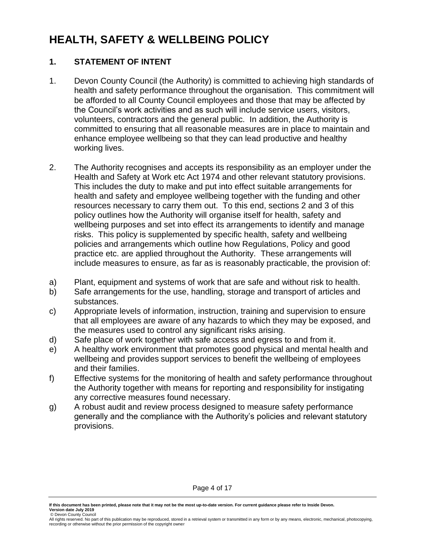# **HEALTH, SAFETY & WELLBEING POLICY**

#### **1. STATEMENT OF INTENT**

- 1. Devon County Council (the Authority) is committed to achieving high standards of health and safety performance throughout the organisation. This commitment will be afforded to all County Council employees and those that may be affected by the Council's work activities and as such will include service users, visitors, volunteers, contractors and the general public. In addition, the Authority is committed to ensuring that all reasonable measures are in place to maintain and enhance employee wellbeing so that they can lead productive and healthy working lives.
- 2. The Authority recognises and accepts its responsibility as an employer under the Health and Safety at Work etc Act 1974 and other relevant statutory provisions. This includes the duty to make and put into effect suitable arrangements for health and safety and employee wellbeing together with the funding and other resources necessary to carry them out. To this end, sections 2 and 3 of this policy outlines how the Authority will organise itself for health, safety and wellbeing purposes and set into effect its arrangements to identify and manage risks. This policy is supplemented by specific health, safety and wellbeing policies and arrangements which outline how Regulations, Policy and good practice etc. are applied throughout the Authority. These arrangements will include measures to ensure, as far as is reasonably practicable, the provision of:
- a) Plant, equipment and systems of work that are safe and without risk to health.
- b) Safe arrangements for the use, handling, storage and transport of articles and substances.
- c) Appropriate levels of information, instruction, training and supervision to ensure that all employees are aware of any hazards to which they may be exposed, and the measures used to control any significant risks arising.
- d) Safe place of work together with safe access and egress to and from it.
- e) A healthy work environment that promotes good physical and mental health and wellbeing and provides support services to benefit the wellbeing of employees and their families.
- f) Effective systems for the monitoring of health and safety performance throughout the Authority together with means for reporting and responsibility for instigating any corrective measures found necessary.
- g) A robust audit and review process designed to measure safety performance generally and the compliance with the Authority's policies and relevant statutory provisions.

Page 4 of 17

© Devon County Council

All rights reserved. No part of this publication may be reproduced, stored in a retrieval system or transmitted in any form or by any means, electronic, mechanical, photocopying, recording or otherwise without the prior permission of the copyright owner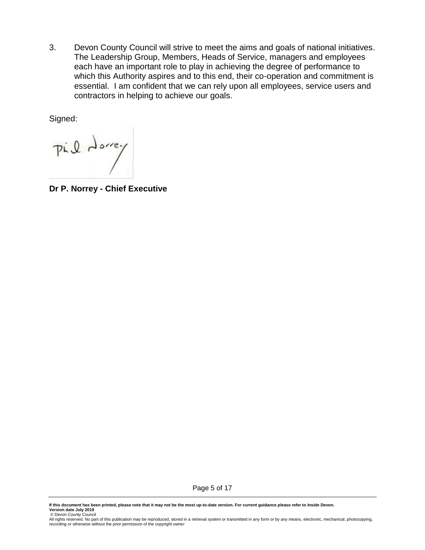3. Devon County Council will strive to meet the aims and goals of national initiatives. The Leadership Group, Members, Heads of Service, managers and employees each have an important role to play in achieving the degree of performance to which this Authority aspires and to this end, their co-operation and commitment is essential. I am confident that we can rely upon all employees, service users and contractors in helping to achieve our goals.

Signed:

Pil dorrey

**Dr P. Norrey - Chief Executive**

Page 5 of 17

<sup>©</sup> Devon County Council<br>All rights reserved. No part of this publication may be reproduced, stored in a retrieval system or transmitted in any form or by any means, electronic, mechanical, photocopying,<br>recording or otherw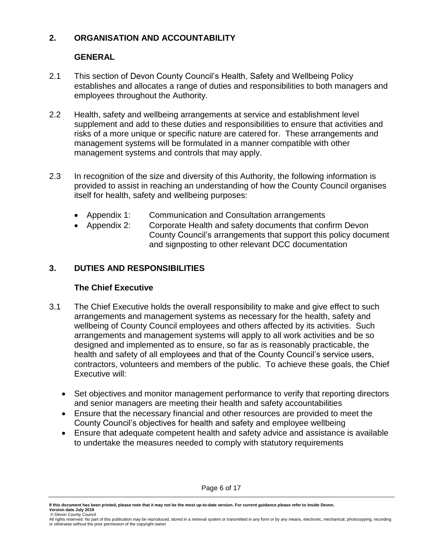#### **2. ORGANISATION AND ACCOUNTABILITY**

### **GENERAL**

- 2.1 This section of Devon County Council's Health, Safety and Wellbeing Policy establishes and allocates a range of duties and responsibilities to both managers and employees throughout the Authority.
- 2.2 Health, safety and wellbeing arrangements at service and establishment level supplement and add to these duties and responsibilities to ensure that activities and risks of a more unique or specific nature are catered for. These arrangements and management systems will be formulated in a manner compatible with other management systems and controls that may apply.
- 2.3 In recognition of the size and diversity of this Authority, the following information is provided to assist in reaching an understanding of how the County Council organises itself for health, safety and wellbeing purposes:
	- Appendix 1: Communication and Consultation arrangements
	- Appendix 2: Corporate Health and safety documents that confirm Devon County Council's arrangements that support this policy document and signposting to other relevant DCC documentation

### **3. DUTIES AND RESPONSIBILITIES**

#### **The Chief Executive**

- 3.1 The Chief Executive holds the overall responsibility to make and give effect to such arrangements and management systems as necessary for the health, safety and wellbeing of County Council employees and others affected by its activities. Such arrangements and management systems will apply to all work activities and be so designed and implemented as to ensure, so far as is reasonably practicable, the health and safety of all employees and that of the County Council's service users, contractors, volunteers and members of the public. To achieve these goals, the Chief Executive will:
	- Set objectives and monitor management performance to verify that reporting directors and senior managers are meeting their health and safety accountabilities
	- Ensure that the necessary financial and other resources are provided to meet the County Council's objectives for health and safety and employee wellbeing
	- Ensure that adequate competent health and safety advice and assistance is available to undertake the measures needed to comply with statutory requirements

**If this document has been printed, please note that it may not be the most up-to-date version. For current guidance please refer to Inside Devon. Version date July 2019**

<sup>©</sup> Devon County Council<br>All rights reserved. No part of this publication may be reproduced, stored in a retrieval system or transmitted in any form or by any means, electronic, mechanical, photocopying, recording or otherwise without the prior permission of the copyright owner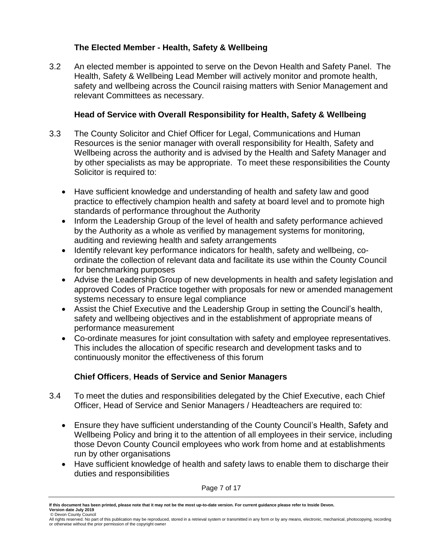### **The Elected Member - Health, Safety & Wellbeing**

3.2 An elected member is appointed to serve on the Devon Health and Safety Panel. The Health, Safety & Wellbeing Lead Member will actively monitor and promote health, safety and wellbeing across the Council raising matters with Senior Management and relevant Committees as necessary.

#### **Head of Service with Overall Responsibility for Health, Safety & Wellbeing**

- 3.3 The County Solicitor and Chief Officer for Legal, Communications and Human Resources is the senior manager with overall responsibility for Health, Safety and Wellbeing across the authority and is advised by the Health and Safety Manager and by other specialists as may be appropriate. To meet these responsibilities the County Solicitor is required to:
	- Have sufficient knowledge and understanding of health and safety law and good practice to effectively champion health and safety at board level and to promote high standards of performance throughout the Authority
	- Inform the Leadership Group of the level of health and safety performance achieved by the Authority as a whole as verified by management systems for monitoring, auditing and reviewing health and safety arrangements
	- Identify relevant key performance indicators for health, safety and wellbeing, coordinate the collection of relevant data and facilitate its use within the County Council for benchmarking purposes
	- Advise the Leadership Group of new developments in health and safety legislation and approved Codes of Practice together with proposals for new or amended management systems necessary to ensure legal compliance
	- Assist the Chief Executive and the Leadership Group in setting the Council's health, safety and wellbeing objectives and in the establishment of appropriate means of performance measurement
	- Co-ordinate measures for joint consultation with safety and employee representatives. This includes the allocation of specific research and development tasks and to continuously monitor the effectiveness of this forum

## **Chief Officers**, **Heads of Service and Senior Managers**

- 3.4 To meet the duties and responsibilities delegated by the Chief Executive, each Chief Officer, Head of Service and Senior Managers / Headteachers are required to:
	- Ensure they have sufficient understanding of the County Council's Health, Safety and Wellbeing Policy and bring it to the attention of all employees in their service, including those Devon County Council employees who work from home and at establishments run by other organisations
	- Have sufficient knowledge of health and safety laws to enable them to discharge their duties and responsibilities

Page 7 of 17

**If this document has been printed, please note that it may not be the most up-to-date version. For current guidance please refer to Inside Devon. Version date July 2019**

<sup>©</sup> Devon County Council<br>All rights reserved. No part of this publication may be reproduced, stored in a retrieval system or transmitted in any form or by any means, electronic, mechanical, photocopying, recording or otherwise without the prior permission of the copyright owner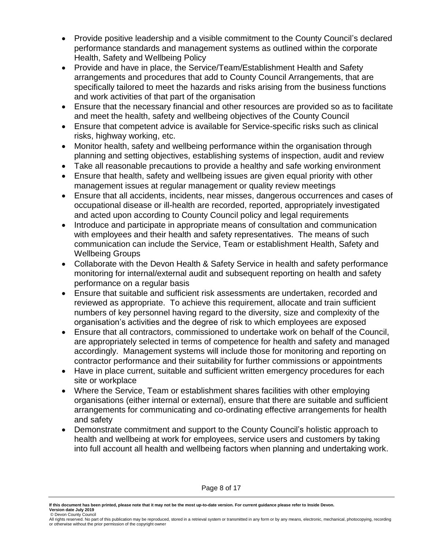- Provide positive leadership and a visible commitment to the County Council's declared performance standards and management systems as outlined within the corporate Health, Safety and Wellbeing Policy
- Provide and have in place, the Service/Team/Establishment Health and Safety arrangements and procedures that add to County Council Arrangements, that are specifically tailored to meet the hazards and risks arising from the business functions and work activities of that part of the organisation
- Ensure that the necessary financial and other resources are provided so as to facilitate and meet the health, safety and wellbeing objectives of the County Council
- Ensure that competent advice is available for Service-specific risks such as clinical risks, highway working, etc.
- Monitor health, safety and wellbeing performance within the organisation through planning and setting objectives, establishing systems of inspection, audit and review
- Take all reasonable precautions to provide a healthy and safe working environment
- Ensure that health, safety and wellbeing issues are given equal priority with other management issues at regular management or quality review meetings
- Ensure that all accidents, incidents, near misses, dangerous occurrences and cases of occupational disease or ill-health are recorded, reported, appropriately investigated and acted upon according to County Council policy and legal requirements
- Introduce and participate in appropriate means of consultation and communication with employees and their health and safety representatives. The means of such communication can include the Service, Team or establishment Health, Safety and Wellbeing Groups
- Collaborate with the Devon Health & Safety Service in health and safety performance monitoring for internal/external audit and subsequent reporting on health and safety performance on a regular basis
- Ensure that suitable and sufficient risk assessments are undertaken, recorded and reviewed as appropriate. To achieve this requirement, allocate and train sufficient numbers of key personnel having regard to the diversity, size and complexity of the organisation's activities and the degree of risk to which employees are exposed
- Ensure that all contractors, commissioned to undertake work on behalf of the Council, are appropriately selected in terms of competence for health and safety and managed accordingly. Management systems will include those for monitoring and reporting on contractor performance and their suitability for further commissions or appointments
- Have in place current, suitable and sufficient written emergency procedures for each site or workplace
- Where the Service, Team or establishment shares facilities with other employing organisations (either internal or external), ensure that there are suitable and sufficient arrangements for communicating and co-ordinating effective arrangements for health and safety
- Demonstrate commitment and support to the County Council's holistic approach to health and wellbeing at work for employees, service users and customers by taking into full account all health and wellbeing factors when planning and undertaking work.

**If this document has been printed, please note that it may not be the most up-to-date version. For current guidance please refer to Inside Devon. Version date July 2019**

<sup>©</sup> Devon County Council<br>All rights reserved. No part of this publication may be reproduced, stored in a retrieval system or transmitted in any form or by any means, electronic, mechanical, photocopying, recording or otherwise without the prior permission of the copyright owner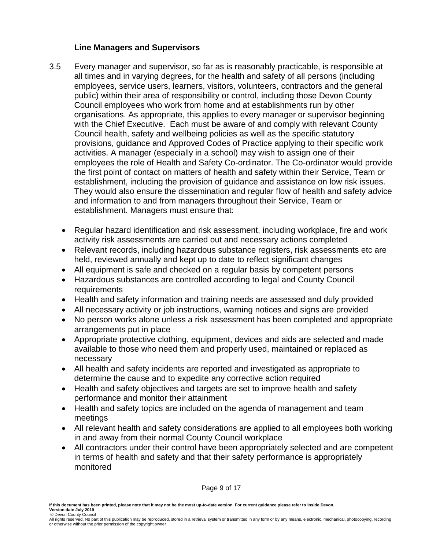#### **Line Managers and Supervisors**

- 3.5 Every manager and supervisor, so far as is reasonably practicable, is responsible at all times and in varying degrees, for the health and safety of all persons (including employees, service users, learners, visitors, volunteers, contractors and the general public) within their area of responsibility or control, including those Devon County Council employees who work from home and at establishments run by other organisations. As appropriate, this applies to every manager or supervisor beginning with the Chief Executive. Each must be aware of and comply with relevant County Council health, safety and wellbeing policies as well as the specific statutory provisions, guidance and Approved Codes of Practice applying to their specific work activities. A manager (especially in a school) may wish to assign one of their employees the role of Health and Safety Co-ordinator. The Co-ordinator would provide the first point of contact on matters of health and safety within their Service, Team or establishment, including the provision of guidance and assistance on low risk issues. They would also ensure the dissemination and regular flow of health and safety advice and information to and from managers throughout their Service, Team or establishment. Managers must ensure that:
	- Regular hazard identification and risk assessment, including workplace, fire and work activity risk assessments are carried out and necessary actions completed
	- Relevant records, including hazardous substance registers, risk assessments etc are held, reviewed annually and kept up to date to reflect significant changes
	- All equipment is safe and checked on a regular basis by competent persons
	- Hazardous substances are controlled according to legal and County Council requirements
	- Health and safety information and training needs are assessed and duly provided
	- All necessary activity or job instructions, warning notices and signs are provided
	- No person works alone unless a risk assessment has been completed and appropriate arrangements put in place
	- Appropriate protective clothing, equipment, devices and aids are selected and made available to those who need them and properly used, maintained or replaced as necessary
	- All health and safety incidents are reported and investigated as appropriate to determine the cause and to expedite any corrective action required
	- Health and safety objectives and targets are set to improve health and safety performance and monitor their attainment
	- Health and safety topics are included on the agenda of management and team meetings
	- All relevant health and safety considerations are applied to all employees both working in and away from their normal County Council workplace
	- All contractors under their control have been appropriately selected and are competent in terms of health and safety and that their safety performance is appropriately monitored

Page 9 of 17

**If this document has been printed, please note that it may not be the most up-to-date version. For current guidance please refer to Inside Devon. Version date July 2019**

<sup>©</sup> Devon County Council<br>All rights reserved. No part of this publication may be reproduced, stored in a retrieval system or transmitted in any form or by any means, electronic, mechanical, photocopying, recording or otherwise without the prior permission of the copyright owner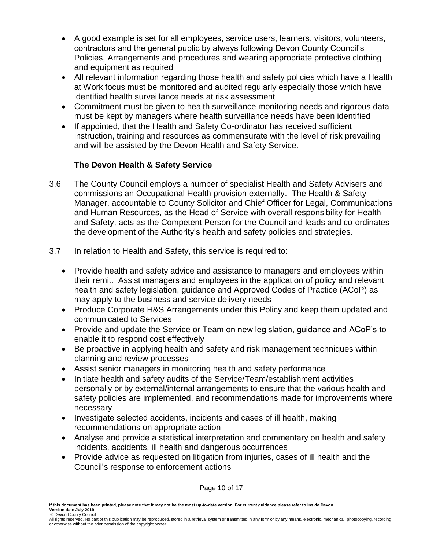- A good example is set for all employees, service users, learners, visitors, volunteers, contractors and the general public by always following Devon County Council's Policies, Arrangements and procedures and wearing appropriate protective clothing and equipment as required
- All relevant information regarding those health and safety policies which have a Health at Work focus must be monitored and audited regularly especially those which have identified health surveillance needs at risk assessment
- Commitment must be given to health surveillance monitoring needs and rigorous data must be kept by managers where health surveillance needs have been identified
- If appointed, that the Health and Safety Co-ordinator has received sufficient instruction, training and resources as commensurate with the level of risk prevailing and will be assisted by the Devon Health and Safety Service.

## **The Devon Health & Safety Service**

- 3.6 The County Council employs a number of specialist Health and Safety Advisers and commissions an Occupational Health provision externally. The Health & Safety Manager, accountable to County Solicitor and Chief Officer for Legal, Communications and Human Resources, as the Head of Service with overall responsibility for Health and Safety, acts as the Competent Person for the Council and leads and co-ordinates the development of the Authority's health and safety policies and strategies.
- 3.7 In relation to Health and Safety, this service is required to:
	- Provide health and safety advice and assistance to managers and employees within their remit. Assist managers and employees in the application of policy and relevant health and safety legislation, guidance and Approved Codes of Practice (ACoP) as may apply to the business and service delivery needs
	- Produce Corporate H&S Arrangements under this Policy and keep them updated and communicated to Services
	- Provide and update the Service or Team on new legislation, guidance and ACoP's to enable it to respond cost effectively
	- Be proactive in applying health and safety and risk management techniques within planning and review processes
	- Assist senior managers in monitoring health and safety performance
	- Initiate health and safety audits of the Service/Team/establishment activities personally or by external/internal arrangements to ensure that the various health and safety policies are implemented, and recommendations made for improvements where necessary
	- Investigate selected accidents, incidents and cases of ill health, making recommendations on appropriate action
	- Analyse and provide a statistical interpretation and commentary on health and safety incidents, accidents, ill health and dangerous occurrences
	- Provide advice as requested on litigation from injuries, cases of ill health and the Council's response to enforcement actions

Page 10 of 17

**If this document has been printed, please note that it may not be the most up-to-date version. For current guidance please refer to Inside Devon. Version date July 2019**

<sup>©</sup> Devon County Council<br>All rights reserved. No part of this publication may be reproduced, stored in a retrieval system or transmitted in any form or by any means, electronic, mechanical, photocopying, recording or otherwise without the prior permission of the copyright owner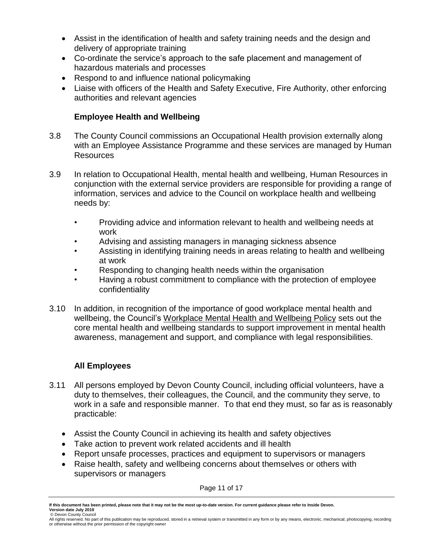- Assist in the identification of health and safety training needs and the design and delivery of appropriate training
- Co-ordinate the service's approach to the safe placement and management of hazardous materials and processes
- Respond to and influence national policymaking
- Liaise with officers of the Health and Safety Executive, Fire Authority, other enforcing authorities and relevant agencies

### **Employee Health and Wellbeing**

- 3.8 The County Council commissions an Occupational Health provision externally along with an Employee Assistance Programme and these services are managed by Human **Resources**
- 3.9 In relation to Occupational Health, mental health and wellbeing, Human Resources in conjunction with the external service providers are responsible for providing a range of information, services and advice to the Council on workplace health and wellbeing needs by:
	- Providing advice and information relevant to health and wellbeing needs at work
	- Advising and assisting managers in managing sickness absence
	- Assisting in identifying training needs in areas relating to health and wellbeing at work
	- Responding to changing health needs within the organisation
	- Having a robust commitment to compliance with the protection of employee confidentiality
- 3.10 In addition, in recognition of the importance of good workplace mental health and wellbeing, the Council's [Workplace Mental Health and Wellbeing Policy](https://devoncc.sharepoint.com/:b:/s/CorpComms/InsideDevon/EVlorEadaNZOoCXVHZN1yKsBtajIBbsuTNOvun0YaTsWWw?e=TYX0Zb) sets out the core mental health and wellbeing standards to support improvement in mental health awareness, management and support, and compliance with legal responsibilities.

## **All Employees**

- 3.11 All persons employed by Devon County Council, including official volunteers, have a duty to themselves, their colleagues, the Council, and the community they serve, to work in a safe and responsible manner. To that end they must, so far as is reasonably practicable:
	- Assist the County Council in achieving its health and safety objectives
	- Take action to prevent work related accidents and ill health
	- Report unsafe processes, practices and equipment to supervisors or managers
	- Raise health, safety and wellbeing concerns about themselves or others with supervisors or managers

Page 11 of 17

**If this document has been printed, please note that it may not be the most up-to-date version. For current guidance please refer to Inside Devon. Version date July 2019**

<sup>©</sup> Devon County Council<br>All rights reserved. No part of this publication may be reproduced, stored in a retrieval system or transmitted in any form or by any means, electronic, mechanical, photocopying, recording or otherwise without the prior permission of the copyright owner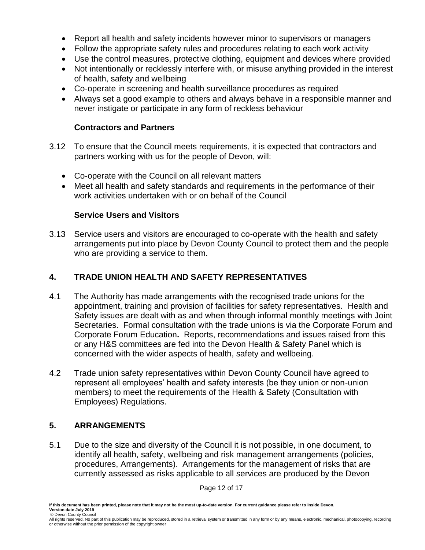- Report all health and safety incidents however minor to supervisors or managers
- Follow the appropriate safety rules and procedures relating to each work activity
- Use the control measures, protective clothing, equipment and devices where provided
- Not intentionally or recklessly interfere with, or misuse anything provided in the interest of health, safety and wellbeing
- Co-operate in screening and health surveillance procedures as required
- Always set a good example to others and always behave in a responsible manner and never instigate or participate in any form of reckless behaviour

#### **Contractors and Partners**

- 3.12 To ensure that the Council meets requirements, it is expected that contractors and partners working with us for the people of Devon, will:
	- Co-operate with the Council on all relevant matters
	- Meet all health and safety standards and requirements in the performance of their work activities undertaken with or on behalf of the Council

#### **Service Users and Visitors**

3.13 Service users and visitors are encouraged to co-operate with the health and safety arrangements put into place by Devon County Council to protect them and the people who are providing a service to them.

#### **4. TRADE UNION HEALTH AND SAFETY REPRESENTATIVES**

- 4.1 The Authority has made arrangements with the recognised trade unions for the appointment, training and provision of facilities for safety representatives. Health and Safety issues are dealt with as and when through informal monthly meetings with Joint Secretaries. Formal consultation with the trade unions is via the Corporate Forum and Corporate Forum Education**.** Reports, recommendations and issues raised from this or any H&S committees are fed into the Devon Health & Safety Panel which is concerned with the wider aspects of health, safety and wellbeing.
- 4.2 Trade union safety representatives within Devon County Council have agreed to represent all employees' health and safety interests (be they union or non-union members) to meet the requirements of the Health & Safety (Consultation with Employees) Regulations.

#### **5. ARRANGEMENTS**

5.1 Due to the size and diversity of the Council it is not possible, in one document, to identify all health, safety, wellbeing and risk management arrangements (policies, procedures, Arrangements). Arrangements for the management of risks that are currently assessed as risks applicable to all services are produced by the Devon

Page 12 of 17

**If this document has been printed, please note that it may not be the most up-to-date version. For current guidance please refer to Inside Devon. Version date July 2019**

<sup>©</sup> Devon County Council<br>All rights reserved. No part of this publication may be reproduced, stored in a retrieval system or transmitted in any form or by any means, electronic, mechanical, photocopying, recording or otherwise without the prior permission of the copyright owner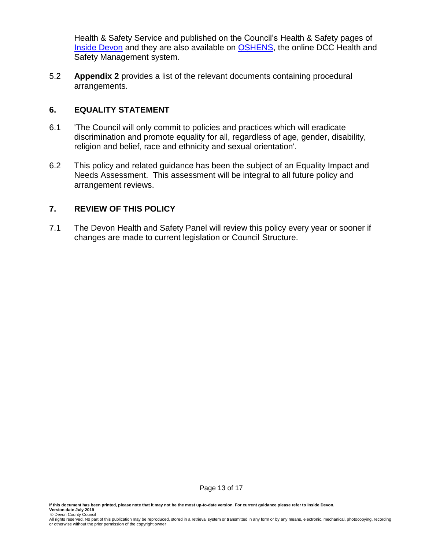Health & Safety Service and published on the Council's Health & Safety pages of [Inside Devon](https://inside.devon.gov.uk/task/health-and-safety/) and they are also available on [OSHENS,](http://devon-safety.co.uk/Login/default.aspx?ClassicSession=clear) the online DCC Health and Safety Management system.

5.2 **Appendix 2** provides a list of the relevant documents containing procedural arrangements.

#### **6. EQUALITY STATEMENT**

- 6.1 'The Council will only commit to policies and practices which will eradicate discrimination and promote equality for all, regardless of age, gender, disability, religion and belief, race and ethnicity and sexual orientation'.
- 6.2 This policy and related guidance has been the subject of an Equality Impact and Needs Assessment. This assessment will be integral to all future policy and arrangement reviews.

#### **7. REVIEW OF THIS POLICY**

7.1 The Devon Health and Safety Panel will review this policy every year or sooner if changes are made to current legislation or Council Structure.

<sup>©</sup> Devon County Council<br>All rights reserved. No part of this publication may be reproduced, stored in a retrieval system or transmitted in any form or by any means, electronic, mechanical, photocopying, recording or otherwise without the prior permission of the copyright owner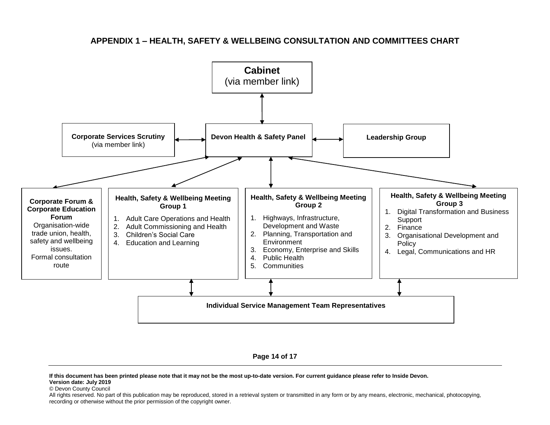#### **APPENDIX 1 – HEALTH, SAFETY & WELLBEING CONSULTATION AND COMMITTEES CHART**



**Page 14 of 17**

**If this document has been printed please note that it may not be the most up-to-date version. For current guidance please refer to Inside Devon. Version date: July 2019**

© Devon County Council

All rights reserved. No part of this publication may be reproduced, stored in a retrieval system or transmitted in any form or by any means, electronic, mechanical, photocopying, recording or otherwise without the prior permission of the copyright owner.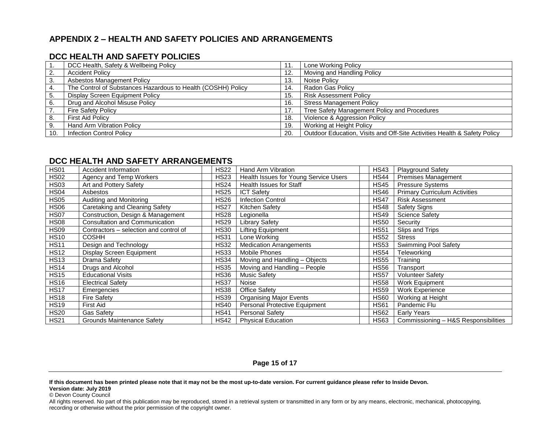### **APPENDIX 2 – HEALTH AND SAFETY POLICIES AND ARRANGEMENTS**

#### **DCC HEALTH AND SAFETY POLICIES**

|     | DCC Health, Safety & Wellbeing Policy                        | 11. | Lone Working Policy                                                      |
|-----|--------------------------------------------------------------|-----|--------------------------------------------------------------------------|
|     | <b>Accident Policy</b>                                       | 12. | Moving and Handling Policy                                               |
|     | Asbestos Management Policy                                   | 13. | Noise Policy                                                             |
|     | The Control of Substances Hazardous to Health (COSHH) Policy | 14. | Radon Gas Policy                                                         |
|     | Display Screen Equipment Policy                              | 15. | <b>Risk Assessment Policy</b>                                            |
| 6.  | Drug and Alcohol Misuse Policy                               | 16. | <b>Stress Management Policy</b>                                          |
|     | <b>Fire Safety Policy</b>                                    | 17. | Tree Safety Management Policy and Procedures                             |
| 8.  | <b>First Aid Policy</b>                                      | 18. | Violence & Aggression Policy                                             |
| 9.  | Hand Arm Vibration Policy                                    | 19. | Working at Height Policy                                                 |
| 10. | <b>Infection Control Policy</b>                              | 20. | Outdoor Education, Visits and Off-Site Activities Health & Safety Policy |

#### **DCC HEALTH AND SAFETY ARRANGEMENTS**

| <b>HS01</b>      | <b>Accident Information</b>            | <b>HS22</b> | Hand Arm Vibration                    | <b>HS43</b> | <b>Playground Safety</b>             |
|------------------|----------------------------------------|-------------|---------------------------------------|-------------|--------------------------------------|
| <b>HS02</b>      | Agency and Temp Workers                | <b>HS23</b> | Health Issues for Young Service Users | <b>HS44</b> | Premises Management                  |
| <b>HS03</b>      | Art and Pottery Safety                 | <b>HS24</b> | <b>Health Issues for Staff</b>        | <b>HS45</b> | Pressure Systems                     |
| HS <sub>04</sub> | Asbestos                               | <b>HS25</b> | <b>ICT Safety</b>                     | <b>HS46</b> | <b>Primary Curriculum Activities</b> |
| <b>HS05</b>      | Auditing and Monitoring                | <b>HS26</b> | <b>Infection Control</b>              | <b>HS47</b> | <b>Risk Assessment</b>               |
| HS06             | Caretaking and Cleaning Safety         | <b>HS27</b> | Kitchen Safety                        | <b>HS48</b> | Safety Signs                         |
| <b>HS07</b>      | Construction, Design & Management      | <b>HS28</b> | Legionella                            | <b>HS49</b> | <b>Science Safety</b>                |
| <b>HS08</b>      | Consultation and Communication         | <b>HS29</b> | <b>Library Safety</b>                 | <b>HS50</b> | Security                             |
| HS09             | Contractors – selection and control of | <b>HS30</b> | <b>Lifting Equipment</b>              | <b>HS51</b> | Slips and Trips                      |
| <b>HS10</b>      | <b>COSHH</b>                           | <b>HS31</b> | Lone Working                          | <b>HS52</b> | <b>Stress</b>                        |
| <b>HS11</b>      | Design and Technology                  | <b>HS32</b> | <b>Medication Arrangements</b>        | <b>HS53</b> | <b>Swimming Pool Safety</b>          |
| <b>HS12</b>      | Display Screen Equipment               | <b>HS33</b> | Mobile Phones                         | <b>HS54</b> | Teleworking                          |
| <b>HS13</b>      | Drama Safety                           | <b>HS34</b> | Moving and Handling - Objects         | <b>HS55</b> | Training                             |
| <b>HS14</b>      | Drugs and Alcohol                      | <b>HS35</b> | Moving and Handling - People          | <b>HS56</b> | Transport                            |
| <b>HS15</b>      | <b>Educational Visits</b>              | <b>HS36</b> | <b>Music Safety</b>                   | <b>HS57</b> | Volunteer Safety                     |
| <b>HS16</b>      | <b>Electrical Safety</b>               | <b>HS37</b> | Noise                                 | <b>HS58</b> | <b>Work Equipment</b>                |
| <b>HS17</b>      | Emergencies                            | <b>HS38</b> | <b>Office Safety</b>                  | <b>HS59</b> | Work Experience                      |
| <b>HS18</b>      | <b>Fire Safety</b>                     | <b>HS39</b> | <b>Organising Major Events</b>        | <b>HS60</b> | Working at Height                    |
| <b>HS19</b>      | First Aid                              | <b>HS40</b> | Personal Protective Equipment         | <b>HS61</b> | Pandemic Flu                         |
| <b>HS20</b>      | <b>Gas Safety</b>                      | <b>HS41</b> | <b>Personal Safety</b>                | <b>HS62</b> | Early Years                          |
| <b>HS21</b>      | Grounds Maintenance Safety             | <b>HS42</b> | <b>Physical Education</b>             | <b>HS63</b> | Commissioning - H&S Responsibilities |

#### **Page 15 of 17**

**If this document has been printed please note that it may not be the most up-to-date version. For current guidance please refer to Inside Devon.**

**Version date: July 2019**

© Devon County Council

All rights reserved. No part of this publication may be reproduced, stored in a retrieval system or transmitted in any form or by any means, electronic, mechanical, photocopying, recording or otherwise without the prior permission of the copyright owner.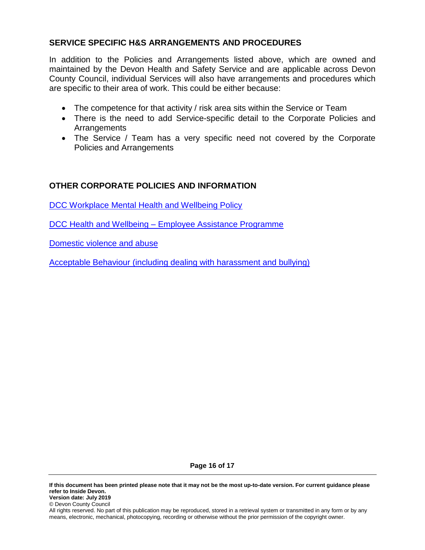#### **SERVICE SPECIFIC H&S ARRANGEMENTS AND PROCEDURES**

In addition to the Policies and Arrangements listed above, which are owned and maintained by the Devon Health and Safety Service and are applicable across Devon County Council, individual Services will also have arrangements and procedures which are specific to their area of work. This could be either because:

- The competence for that activity / risk area sits within the Service or Team
- There is the need to add Service-specific detail to the Corporate Policies and Arrangements
- The Service / Team has a very specific need not covered by the Corporate Policies and Arrangements

#### **OTHER CORPORATE POLICIES AND INFORMATION**

[DCC Workplace Mental Health and Wellbeing Policy](https://devoncc.sharepoint.com/:b:/s/CorpComms/InsideDevon/EVlorEadaNZOoCXVHZN1yKsBtajIBbsuTNOvun0YaTsWWw?e=TYX0Zb)

DCC Health and Wellbeing – [Employee Assistance Programme](https://inside.devon.gov.uk/task/health-and-wellbeing/employee-assistance-programme/)

Domestic [violence and abuse](https://inside.devon.gov.uk/task/domestic-violence-and-abuse/)

Acceptable [Behaviour \(including dealing with harassment and bullying\)](https://inside.devon.gov.uk/task/employee-conduct/acceptable-behaviour/)

**Page 16 of 17**

**If this document has been printed please note that it may not be the most up-to-date version. For current guidance please refer to Inside Devon. Version date: July 2019** © Devon County Council

All rights reserved. No part of this publication may be reproduced, stored in a retrieval system or transmitted in any form or by any means, electronic, mechanical, photocopying, recording or otherwise without the prior permission of the copyright owner.